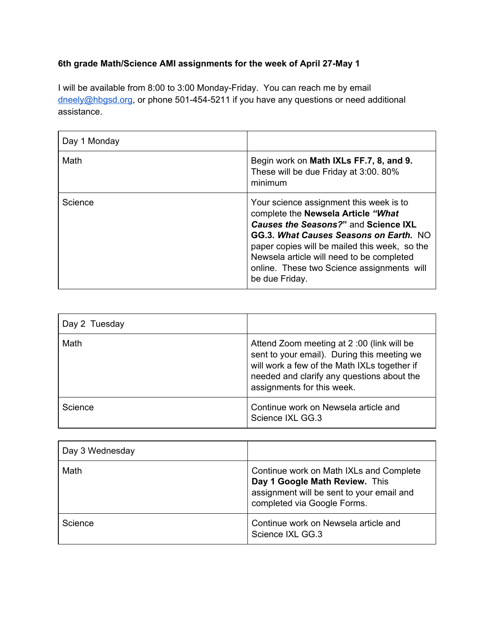## **6th grade Math/Science AMI assignments for the week of April 27-May 1**

I will be available from 8:00 to 3:00 Monday-Friday. You can reach me by email [dneely@hbgsd.org](mailto:dneely@hbgsd.org), or phone 501-454-5211 if you have any questions or need additional assistance.

| Day 1 Monday |                                                                                                                                                                                                                                                                                                                               |
|--------------|-------------------------------------------------------------------------------------------------------------------------------------------------------------------------------------------------------------------------------------------------------------------------------------------------------------------------------|
| Math         | Begin work on Math IXLs FF.7, 8, and 9.<br>These will be due Friday at 3:00. 80%<br>minimum                                                                                                                                                                                                                                   |
| Science      | Your science assignment this week is to<br>complete the Newsela Article "What<br>Causes the Seasons?" and Science IXL<br>GG.3. What Causes Seasons on Earth. NO<br>paper copies will be mailed this week, so the<br>Newsela article will need to be completed<br>online. These two Science assignments will<br>be due Friday. |

| Day 2 Tuesday |                                                                                                                                                                                                                      |
|---------------|----------------------------------------------------------------------------------------------------------------------------------------------------------------------------------------------------------------------|
| Math          | Attend Zoom meeting at 2:00 (link will be<br>sent to your email). During this meeting we<br>will work a few of the Math IXLs together if<br>needed and clarify any questions about the<br>assignments for this week. |
| Science       | Continue work on Newsela article and<br>Science IXL GG.3                                                                                                                                                             |

| Day 3 Wednesday |                                                                                                                                                       |
|-----------------|-------------------------------------------------------------------------------------------------------------------------------------------------------|
| Math            | Continue work on Math IXLs and Complete<br>Day 1 Google Math Review. This<br>assignment will be sent to your email and<br>completed via Google Forms. |
| Science         | Continue work on Newsela article and<br>Science IXL GG.3                                                                                              |